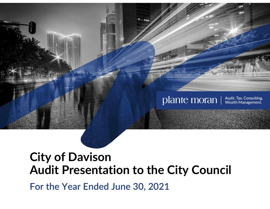

## **City of Davison Audit Presentation to the City Council**

**For the Year Ended June 30, 2021**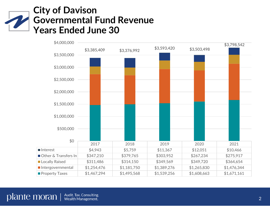## **City of Davison Governmental Fund Revenue Years Ended June 30**

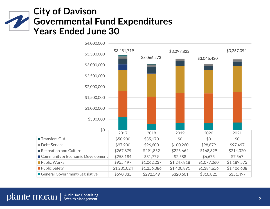## **City of Davison Governmental Fund Expenditures Years Ended June 30**

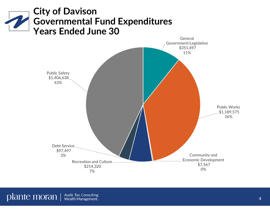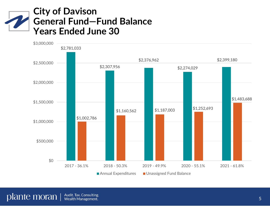## **City of Davison General Fund—Fund Balance Years Ended June 30**

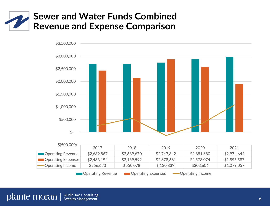



Operating Revenue **Desimal Operating Expenses -**Operating Income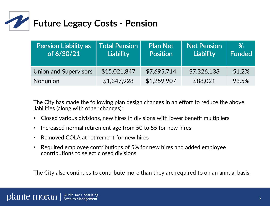

| <b>Pension Liability as</b><br>of 6/30/21 | <b>Total Pension</b><br><b>Liability</b> | <b>Plan Net</b><br><b>Position</b> | <b>Net Pension</b><br><b>Liability</b> | %<br>Funded |
|-------------------------------------------|------------------------------------------|------------------------------------|----------------------------------------|-------------|
| <b>Union and Supervisors</b>              | \$15,021,847                             | \$7,695,714                        | \$7,326,133                            | 51.2%       |
| <b>Nonunion</b>                           | \$1,347,928                              | \$1,259,907                        | \$88,021                               | 93.5%       |

The City has made the following plan design changes in an effort to reduce the above liabilities (along with other changes):

- Closed various divisions, new hires in divisions with lower benefit multipliers
- $\bullet$  $\bullet$   $\;$  Increased normal retirement age from 50 to 55 for new hires
- $\bullet$ • Removed COLA at retirement for new hires
- $\bullet$  Required employee contributions of 5% for new hires and added employee contributions to select closed divisions

The City also continues to contribute more than they are required to on an annual basis.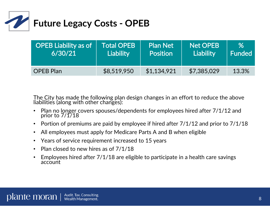

| <b>OPEB Liability as of</b> | <b>Total OPEB</b> | <b>Plan Net</b> | <b>Net OPEB</b> | $\%$   |
|-----------------------------|-------------------|-----------------|-----------------|--------|
| 6/30/21                     | <b>Liability</b>  | <b>Position</b> | Liability       | Funded |
| <b>OPEB Plan</b>            | \$8,519,950       | \$1,134,921     | \$7,385,029     | 13.3%  |

The City has made the following plan design changes in an effort to reduce the above<br>liabilities (along with other changes):

- $\bullet$ Plan no longer covers spouses/dependents for employees hired after 7/1/12 and prior to 7/1/18
- Portion of premiums are paid by employee if hired after 7/1/12 and prior to 7/1/18
- $\bullet$ All employees must apply for Medicare Parts A and B when eligible
- Years of service requirement increased to 15 years
- $\bullet$ • Plan closed to new hires as of  $7/1/18$
- $\bullet$ Employees hired after  $7/1/18$  are eligible to participate in a health care savings account